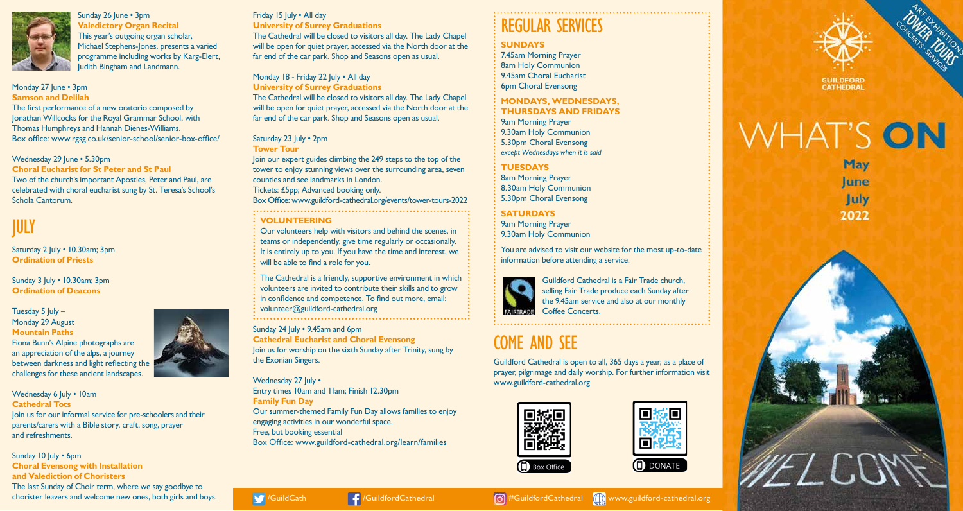

Sunday 26 June • 3pm **Valedictory Organ Recital** This year's outgoing organ scholar, Michael Stephens-Jones, presents a varied programme including works by Karg-Elert, Judith Bingham and Landmann.

Monday 27 June • 3pm **Samson and Delilah** The first performance of a new oratorio composed by

Jonathan Willcocks for the Royal Grammar School, with Thomas Humphreys and Hannah Dienes-Williams. Box office: www.rgsg.co.uk/senior-school/senior-box-office/

Wednesday 29 June • 5.30pm

**Choral Eucharist for St Peter and St Paul**  Two of the church's important Apostles, Peter and Paul, are celebrated with choral eucharist sung by St. Teresa's School's Schola Cantorum.

# JULY

Saturday 2 July • 10.30am; 3pm **Ordination of Priests** 

Sunday 3 July • 10.30am; 3pm **Ordination of Deacons**

Tuesday  $5$  July  $-$ Monday 29 August **Mountain Paths** Fiona Bunn's Alpine photographs are an appreciation of the alps, a journey between darkness and light reflecting the challenges for these ancient landscapes.

Wednesday 6 July • 10am **Cathedral Tots** Join us for our informal service for pre-schoolers and their parents/carers with a Bible story, craft, song, prayer and refreshments.

Sunday 10 July • 6pm **Choral Evensong with Installation and Valediction of Choristers** The last Sunday of Choir term, where we say goodbye to chorister leavers and welcome new ones, both girls and boys.

#### Friday 15 July . All day

**University of Surrey Graduations** The Cathedral will be closed to visitors all day. The Lady Chapel will be open for quiet prayer, accessed via the North door at the far end of the car park. Shop and Seasons open as usual.

Monday 18 - Friday 22 July • All day **University of Surrey Graduations** The Cathedral will be closed to visitors all day. The Lady Chapel will be open for quiet prayer, accessed via the North door at the far end of the car park. Shop and Seasons open as usual.

#### Saturday 23 July . 2pm

**Tower Tour** Join our expert guides climbing the 249 steps to the top of the tower to enjoy stunning views over the surrounding area, seven counties and see landmarks in London. Tickets: £5pp; Advanced booking only. Box Office: www.guildford-cathedral.org/events/tower-tours-2022 **VOLUNTEERING**

Our volunteers help with visitors and behind the scenes, in teams or independently, give time regularly or occasionally. It is entirely up to you. If you have the time and interest, we will be able to find a role for you.

The Cathedral is a friendly, supportive environment in which volunteers are invited to contribute their skills and to grow in confidence and competence. To find out more, email: volunteer@guildford-cathedral.org 

Sunday 24 July • 9.45am and 6pm **Cathedral Eucharist and Choral Evensong** Join us for worship on the sixth Sunday after Trinity, sung by the Exonian Singers.

Wednesday 27 July • Entry times 10am and 11am; Finish 12.30pm **Family Fun Day** Our summer-themed Family Fun Day allows families to enjoy engaging activities in our wonderful space. Free, but booking essential Box Office: www.guildford-cathedral.org/learn/families

## REGULAR SERVICES

#### **SUNDAYS**

7.45am Morning Prayer 8am Holy Communion 9.45am Choral Eucharist 6pm Choral Evensong

**MONDAYS, WEDNESDAYS, THURSDAYS AND FRIDAYS** 9am Morning Prayer 9.30am Holy Communion 5.30pm Choral Evensong *except Wednesdays when it is said*

### **TUESDAYS**

8am Morning Prayer 8.30am Holy Communion 5.30pm Choral Evensong

**SATURDAYS** 9am Morning Prayer

9.30am Holy Communion

You are advised to visit our website for the most up-to-date information before attending a service.



Guildford Cathedral is a Fair Trade church, selling Fair Trade produce each Sunday after the 9.45am service and also at our monthly Coffee Concerts.

# COME AND SEE

Guildford Cathedral is open to all, 365 days a year, as a place of prayer, pilgrimage and daily worship. For further information visit www.guildford-cathedral.org









**WHAT'S ON** May lune **July**